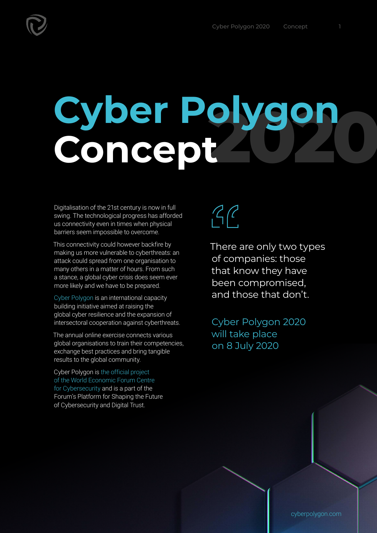## **2020 Cyber Polygon Concept**

Digitalisation of the 21st century is now in full swing. The technological progress has afforded us connectivity even in times when physical barriers seem impossible to overcome.

This connectivity could however backfire by making us more vulnerable to cyberthreats: an attack could spread from one organisation to many others in a matter of hours. From such a stance, a global cyber crisis does seem ever more likely and we have to be prepared.

[Cyber Polygon](https://cyberpolygon.com/) is an international capacity building initiative aimed at raising the global cyber resilience and the expansion of intersectoral cooperation against cyberthreats.

The annual online exercise connects various global organisations to train their competencies, exchange best practices and bring tangible results to the global community.

Cyber Polygon is [the official project](https://www.weforum.org/projects/cyber-polygon)  [of the World Economic Forum Centre](https://www.weforum.org/projects/cyber-polygon)  [for Cybersecurity](https://www.weforum.org/projects/cyber-polygon) and is a part of the Forum's Platform for Shaping the Future of Cybersecurity and Digital Trust.



There are only two types of companies: those that know they have been compromised, and those that don't.

Cyber Polygon 2020 will take place on 8 July 2020

[cyberpolygon.com](http://cyberpolygon.com)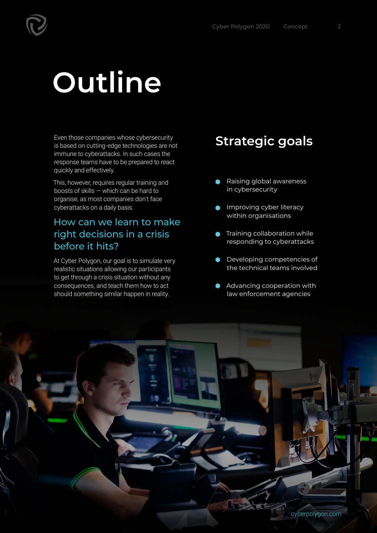## **Outline**

Even those companies whose cybersecurity is based on cutting-edge technologies are not immune to cyberattacks. In such cases the response teams have to be prepared to react quickly and effectively.

This, however, requires regular training and boosts of skills — which can be hard to organise, as most companies don't face cyberattacks on a daily basis.

### How can we learn to make right decisions in a crisis before it hits?

At Cyber Polygon, our goal is to simulate very realistic situations allowing our participants to get through a crisis situation without any consequences, and teach them how to act should something similar happen in reality.

### **Strategic goals**

- Raising global awareness  $\bullet$ in cybersecurity
- Improving cyber literacy within organisations
- **Training collaboration while** responding to cyberattacks
- **Developing competencies of** the technical teams involved
- Advancing cooperation with law enforcement agencies

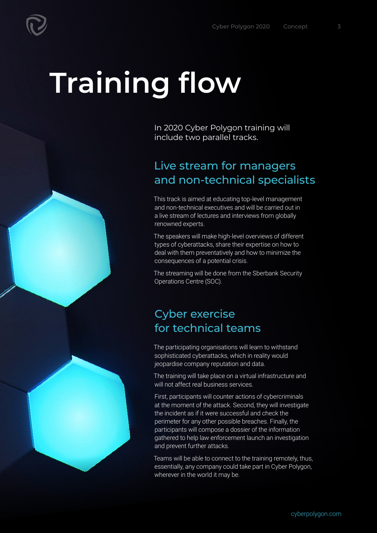# **Training flow**

In 2020 Cyber Polygon training will include two parallel tracks.

### Live stream for managers and non-technical specialists

This track is aimed at educating top-level management and non-technical executives and will be carried out in a live stream of lectures and interviews from globally renowned experts.

The speakers will make high-level overviews of different types of cyberattacks, share their expertise on how to deal with them preventatively and how to minimize the consequences of a potential crisis.

The streaming will be done from the Sberbank Security Operations Centre (SOC).

### Cyber exercise for technical teams

The participating organisations will learn to withstand sophisticated cyberattacks, which in reality would jeopardise company reputation and data.

The training will take place on a virtual infrastructure and will not affect real business services.

First, participants will counter actions of cybercriminals at the moment of the attack. Second, they will investigate the incident as if it were successful and check the perimeter for any other possible breaches. Finally, the participants will compose a dossier of the information gathered to help law enforcement launch an investigation and prevent further attacks.

Teams will be able to connect to the training remotely, thus, essentially, any company could take part in Cyber Polygon, wherever in the world it may be.